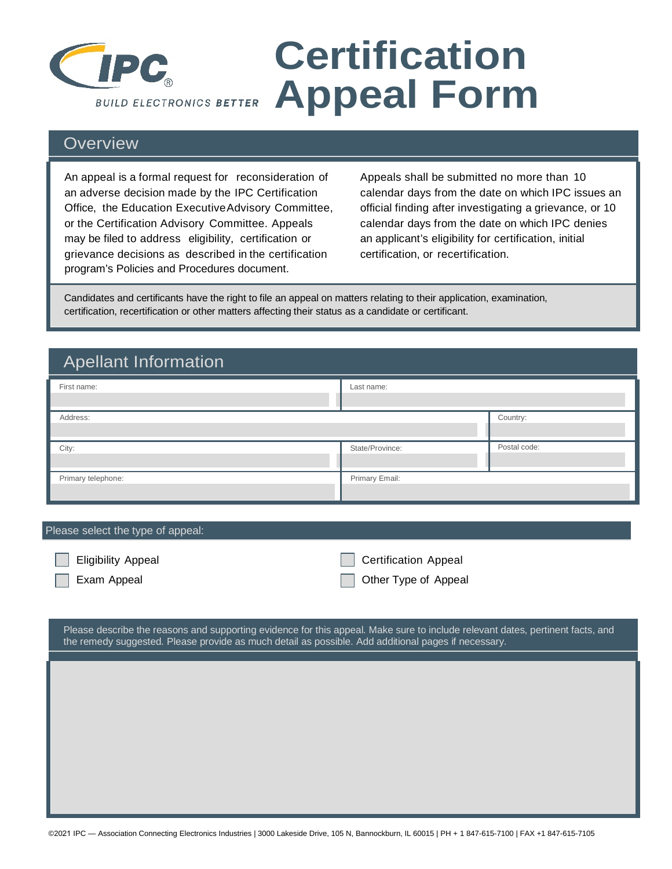

## **Certification Appeal Form**

## **Overview**

An appeal is a formal request for reconsideration of Appeals shall be submitted no more than 10 an adverse decision made by the IPC Certification calendar days from the date on which IPC issues an Office, the Education ExecutiveAdvisory Committee, official finding after investigating a grievance, or 10 or the Certification Advisory Committee. Appeals calendar days from the date on which IPC denies may be filed to address eligibility, certification or an applicant's eligibility for certification, initial grievance decisions as described in the certification certification, or recertification. program's Policies and Procedures document.

Candidates and certificants have the right to file an appeal on matters relating to their application, examination, certification, recertification or other matters affecting their status as a candidate or certificant.

## Apellant Information

| First name:        | Last name:      |              |
|--------------------|-----------------|--------------|
| Address:           |                 | Country:     |
| City:              | State/Province: | Postal code: |
| Primary telephone: | Primary Email:  |              |

## Please select the type of appeal:

Eligibility Appeal **Certification Appeal** Exam Appeal **Exam Appeal Exam Appeal** 

Please describe the reasons and supporting evidence for this appeal. Make sure to include relevant dates, pertinent facts, and the remedy suggested. Please provide as much detail as possible. Add additional pages if necessary.